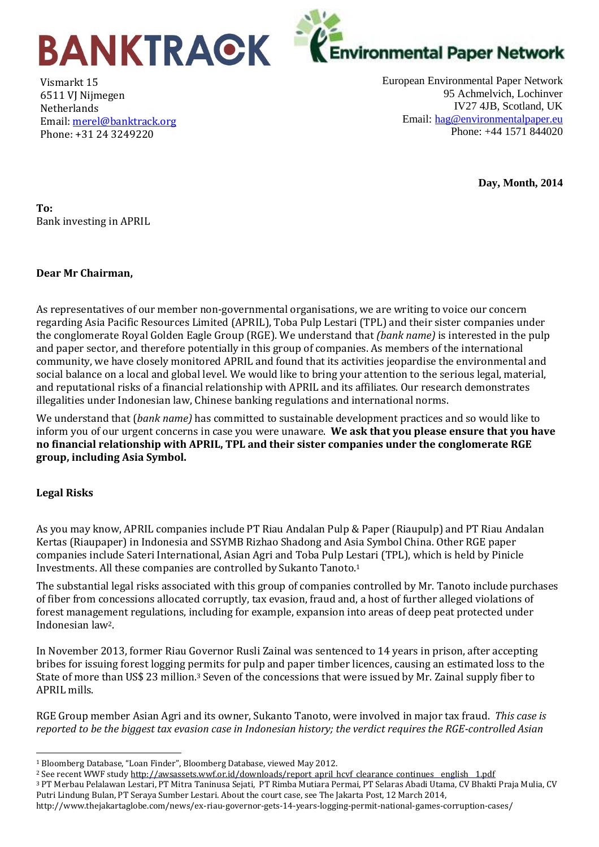

Vismarkt 15 6511 VJ Nijmegen Netherlands Email: [merel@banktrack.org](mailto:merel@banktrack.org) Phone: +31 24 3249220

European Environmental Paper Network 95 Achmelvich, Lochinver IV27 4JB, Scotland, UK Email: [hag@environmentalpaper.eu](mailto:hag@environmentalpaper.eu) Phone: +44 1571 844020

**Day, Month, 2014**

**To:**  Bank investing in APRIL

## **Dear Mr Chairman,**

As representatives of our member non-governmental organisations, we are writing to voice our concern regarding Asia Pacific Resources Limited (APRIL), Toba Pulp Lestari (TPL) and their sister companies under the conglomerate Royal Golden Eagle Group (RGE). We understand that *(bank name)* is interested in the pulp and paper sector, and therefore potentially in this group of companies. As members of the international community, we have closely monitored APRIL and found that its activities jeopardise the environmental and social balance on a local and global level. We would like to bring your attention to the serious legal, material, and reputational risks of a financial relationship with APRIL and its affiliates. Our research demonstrates illegalities under Indonesian law, Chinese banking regulations and international norms.

We understand that (*bank name)* has committed to sustainable development practices and so would like to inform you of our urgent concerns in case you were unaware. **We ask that you please ensure that you have no financial relationship with APRIL, TPL and their sister companies under the conglomerate RGE group, including Asia Symbol.**

## **Legal Risks**

 $\overline{\phantom{a}}$ 

As you may know, APRIL companies include PT Riau Andalan Pulp & Paper (Riaupulp) and PT Riau Andalan Kertas (Riaupaper) in Indonesia and SSYMB Rizhao Shadong and Asia Symbol China. Other RGE paper companies include Sateri International, Asian Agri and Toba Pulp Lestari (TPL), which is held by Pinicle Investments. All these companies are controlled by Sukanto Tanoto.<sup>1</sup>

The substantial legal risks associated with this group of companies controlled by Mr. Tanoto include purchases of fiber from concessions allocated corruptly, tax evasion, fraud and, a host of further alleged violations of forest management regulations, including for example, expansion into areas of deep peat protected under Indonesian law2.

In November 2013, former Riau Governor Rusli Zainal was sentenced to 14 years in prison, after accepting bribes for issuing forest logging permits for pulp and paper timber licences, causing an estimated loss to the State of more than US\$ 23 million.<sup>3</sup> Seven of the concessions that were issued by Mr. Zainal supply fiber to APRIL mills.

RGE Group member Asian Agri and its owner, Sukanto Tanoto, were involved in major tax fraud. *This case is reported to be the biggest tax evasion case in Indonesian history; the verdict requires the RGE-controlled Asian*

<sup>3</sup> PT Merbau Pelalawan Lestari, PT Mitra Taninusa Sejati, PT Rimba Mutiara Permai, PT Selaras Abadi Utama, CV Bhakti Praja Mulia, CV Putri Lindung Bulan, PT Seraya Sumber Lestari. About the court case, see The Jakarta Post, 12 March 2014,

<sup>1</sup> Bloomberg Database, "Loan Finder", Bloomberg Database, viewed May 2012.

<sup>&</sup>lt;sup>2</sup> See recent WWF study http://awsassets.wwf.or.id/downloads/report\_april\_hcvf\_clearance\_continues\_english\_1.pdf

http://www.thejakartaglobe.com/news/ex-riau-governor-gets-14-years-logging-permit-national-games-corruption-cases/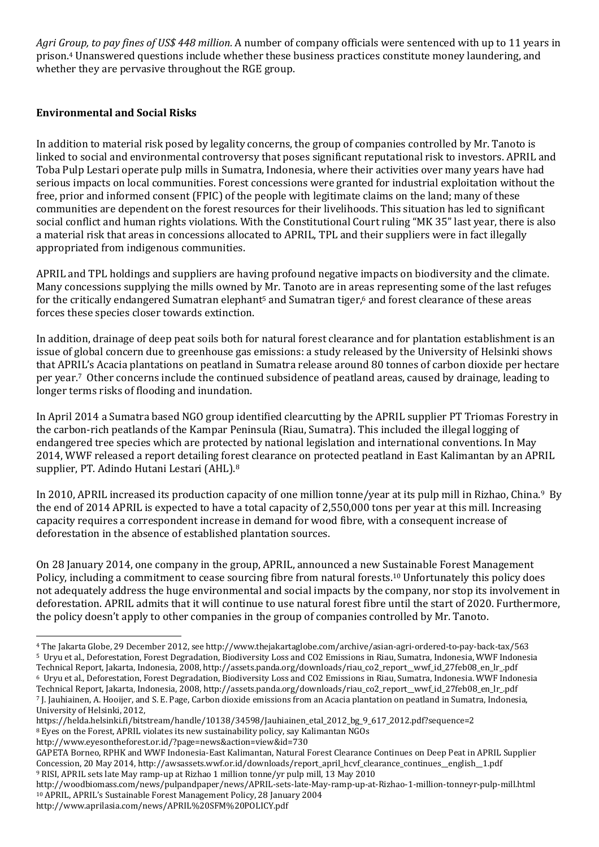*Agri Group, to pay fines of US\$ 448 million.* A number of company officials were sentenced with up to 11 years in prison.<sup>4</sup> Unanswered questions include whether these business practices constitute money laundering, and whether they are pervasive throughout the RGE group.

## **Environmental and Social Risks**

In addition to material risk posed by legality concerns, the group of companies controlled by Mr. Tanoto is linked to social and environmental controversy that poses significant reputational risk to investors. APRIL and Toba Pulp Lestari operate pulp mills in Sumatra, Indonesia, where their activities over many years have had serious impacts on local communities. Forest concessions were granted for industrial exploitation without the free, prior and informed consent (FPIC) of the people with legitimate claims on the land; many of these communities are dependent on the forest resources for their livelihoods. This situation has led to significant social conflict and human rights violations. With the Constitutional Court ruling "MK 35" last year, there is also a material risk that areas in concessions allocated to APRIL, TPL and their suppliers were in fact illegally appropriated from indigenous communities.

APRIL and TPL holdings and suppliers are having profound negative impacts on biodiversity and the climate. Many concessions supplying the mills owned by Mr. Tanoto are in areas representing some of the last refuges for the critically endangered Sumatran elephant<sup>5</sup> and Sumatran tiger, $6$  and forest clearance of these areas forces these species closer towards extinction.

In addition, drainage of deep peat soils both for natural forest clearance and for plantation establishment is an issue of global concern due to greenhouse gas emissions: a study released by the University of Helsinki shows that APRIL's Acacia plantations on peatland in Sumatra release around 80 tonnes of carbon dioxide per hectare per year.7 Other concerns include the continued subsidence of peatland areas, caused by drainage, leading to longer terms risks of flooding and inundation.

In April 2014 a Sumatra based NGO group identified clearcutting by the APRIL supplier PT Triomas Forestry in the carbon-rich peatlands of the Kampar Peninsula (Riau, Sumatra). This included the illegal logging of endangered tree species which are protected by national legislation and international conventions. In May 2014, WWF released a report detailing forest clearance on protected peatland in East Kalimantan by an APRIL supplier, PT. Adindo Hutani Lestari (AHL).<sup>8</sup>

In 2010, APRIL increased its production capacity of one million tonne/year at its pulp mill in Rizhao, China.9 By the end of 2014 APRIL is expected to have a total capacity of 2,550,000 tons per year at this mill. Increasing capacity requires a correspondent increase in demand for wood fibre, with a consequent increase of deforestation in the absence of established plantation sources.

On 28 January 2014, one company in the group, APRIL, announced a new Sustainable Forest Management Policy, including a commitment to cease sourcing fibre from natural forests.<sup>10</sup> Unfortunately this policy does not adequately address the huge environmental and social impacts by the company, nor stop its involvement in deforestation. APRIL admits that it will continue to use natural forest fibre until the start of 2020. Furthermore, the policy doesn't apply to other companies in the group of companies controlled by Mr. Tanoto.

https://helda.helsinki.fi/bitstream/handle/10138/34598/Jauhiainen\_etal\_2012\_bg\_9\_617\_2012.pdf?sequence=2 <sup>8</sup> Eyes on the Forest, APRIL violates its new sustainability policy, say Kalimantan NGOs

http://www.eyesontheforest.or.id/?page=news&action=view&id=730

 $\overline{a}$ 

<sup>4</sup> The Jakarta Globe, 29 December 2012, see http://www.thejakartaglobe.com/archive/asian-agri-ordered-to-pay-back-tax/563 <sup>5</sup> Uryu et al., Deforestation, Forest Degradation, Biodiversity Loss and CO2 Emissions in Riau, Sumatra, Indonesia, WWF Indonesia Technical Report, Jakarta, Indonesia, 2008, http://assets.panda.org/downloads/riau\_co2\_report\_\_wwf\_id\_27feb08\_en\_lr\_.pdf <sup>6</sup> Uryu et al., Deforestation, Forest Degradation, Biodiversity Loss and CO2 Emissions in Riau, Sumatra, Indonesia. WWF Indonesia Technical Report, Jakarta, Indonesia, 2008, http://assets.panda.org/downloads/riau\_co2\_report\_\_wwf\_id\_27feb08\_en\_lr\_.pdf

<sup>7</sup> J. Jauhiainen, A. Hooijer, and S. E. Page, Carbon dioxide emissions from an Acacia plantation on peatland in Sumatra, Indonesia, University of Helsinki, 2012,

GAPETA Borneo, RPHK and WWF Indonesia-East Kalimantan, Natural Forest Clearance Continues on Deep Peat in APRIL Supplier Concession, 20 May 2014, http://awsassets.wwf.or.id/downloads/report\_april\_hcvf\_clearance\_continues\_\_english\_\_1.pdf <sup>9</sup> RISI, APRIL sets late May ramp-up at Rizhao 1 million tonne/yr pulp mill, 13 May 2010

http://woodbiomass.com/news/pulpandpaper/news/APRIL-sets-late-May-ramp-up-at-Rizhao-1-million-tonneyr-pulp-mill.html <sup>10</sup> APRIL, APRIL's Sustainable Forest Management Policy, 28 January 2004